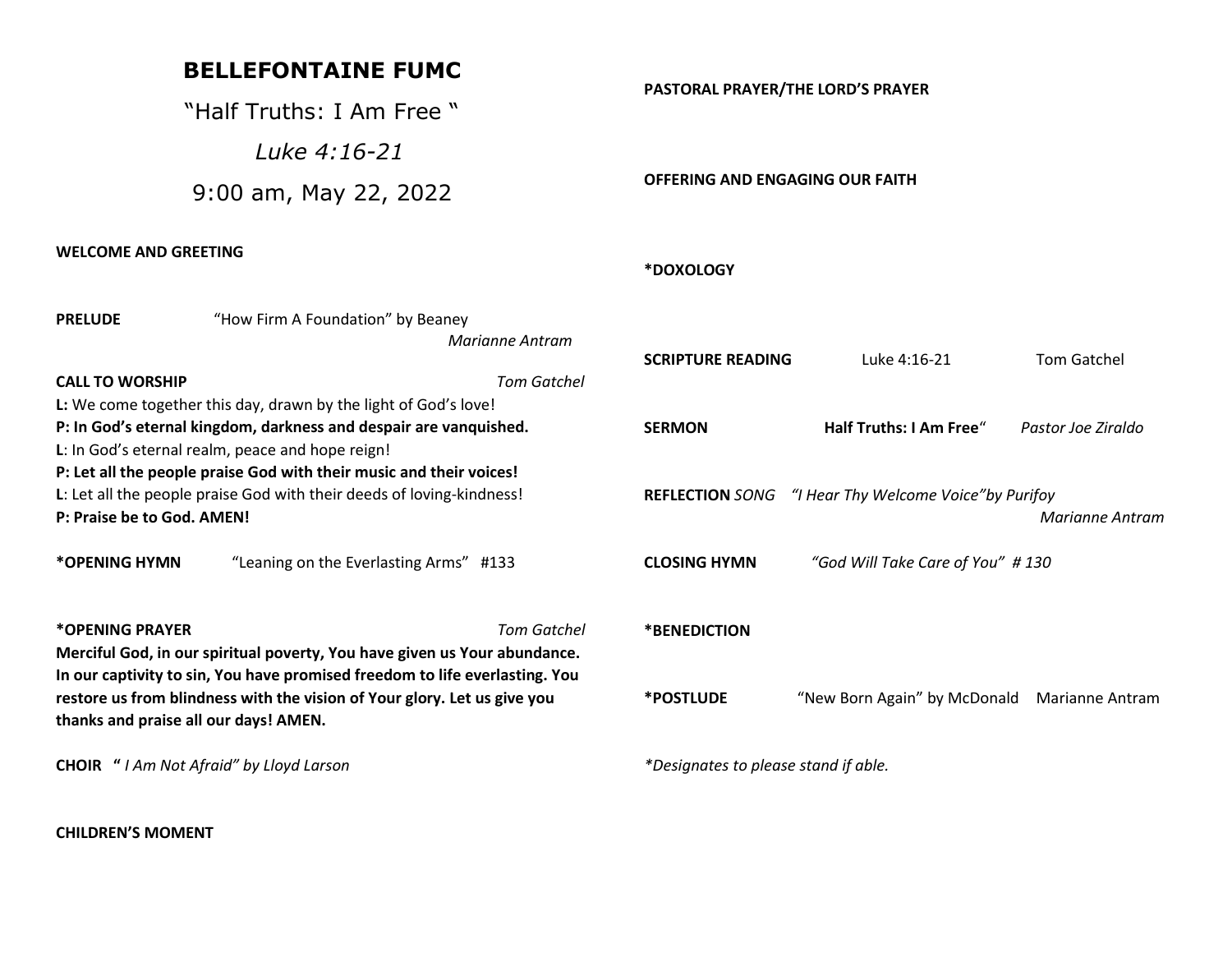## **BELLEFONTAINE FUMC**

"Half Truths: I Am Free "

 *Luke 4:16-21* 

9:00 am, May 22, 2022

#### **WELCOME AND GREETING**

#### **PASTORAL PRAYER/THE LORD'S PRAYER**

**OFFERING AND ENGAGING OUR FAITH**

#### **\*DOXOLOGY**

| <b>PRELUDE</b>                                                           | "How Firm A Foundation" by Beaney                                           |                    |                                                         |                                       |                    |
|--------------------------------------------------------------------------|-----------------------------------------------------------------------------|--------------------|---------------------------------------------------------|---------------------------------------|--------------------|
|                                                                          |                                                                             | Marianne Antram    |                                                         |                                       |                    |
|                                                                          |                                                                             |                    | <b>SCRIPTURE READING</b>                                | Luke 4:16-21                          | <b>Tom Gatchel</b> |
| <b>CALL TO WORSHIP</b>                                                   |                                                                             | <b>Tom Gatchel</b> |                                                         |                                       |                    |
|                                                                          | L: We come together this day, drawn by the light of God's love!             |                    |                                                         |                                       |                    |
| P: In God's eternal kingdom, darkness and despair are vanquished.        |                                                                             |                    | <b>SERMON</b>                                           | <b>Half Truths: I Am Free</b> "       | Pastor Joe Ziraldo |
|                                                                          | L: In God's eternal realm, peace and hope reign!                            |                    |                                                         |                                       |                    |
|                                                                          | P: Let all the people praise God with their music and their voices!         |                    |                                                         |                                       |                    |
| L: Let all the people praise God with their deeds of loving-kindness!    |                                                                             |                    | <b>REFLECTION SONG</b>                                  | "I Hear Thy Welcome Voice" by Purifoy |                    |
| P: Praise be to God. AMEN!                                               |                                                                             |                    |                                                         |                                       | Marianne Antram    |
| *OPENING HYMN                                                            | "Leaning on the Everlasting Arms" #133                                      |                    | "God Will Take Care of You" #130<br><b>CLOSING HYMN</b> |                                       |                    |
| *OPENING PRAYER                                                          |                                                                             | <b>Tom Gatchel</b> | *BENEDICTION                                            |                                       |                    |
|                                                                          | Merciful God, in our spiritual poverty, You have given us Your abundance.   |                    |                                                         |                                       |                    |
|                                                                          | In our captivity to sin, You have promised freedom to life everlasting. You |                    |                                                         |                                       |                    |
| restore us from blindness with the vision of Your glory. Let us give you |                                                                             |                    | <i><b>*POSTLUDE</b></i>                                 | "New Born Again" by McDonald          | Marianne Antram    |
| thanks and praise all our days! AMEN.                                    |                                                                             |                    |                                                         |                                       |                    |
| <b>CHOIR</b> " I Am Not Afraid" by Lloyd Larson                          |                                                                             |                    | *Designates to please stand if able.                    |                                       |                    |

**CHILDREN'S MOMENT**